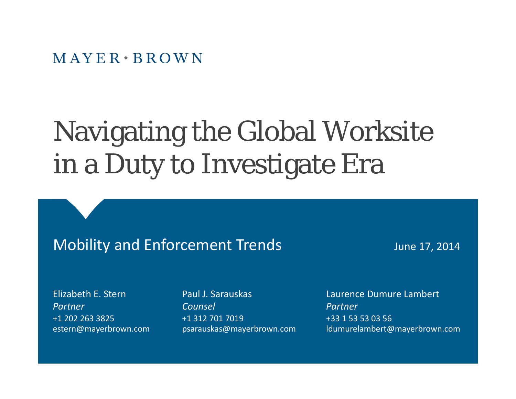$M$  AYER  $\cdot$  BROWN

# Navigating the Global Worksite in a Duty to Investigate Era

#### Mobility and Enforcement Trends June 17, 2014

Elizabeth E. Stern *Partner*+1 202 263 3825

Paul J. Sarauskas*Counsel*+1 312 701 7019

Laurence Dumure Lambert *Partner*+331 53 53 03 56 estern@mayerbrown.com psarauskas@mayerbrown.com ldumurelambert@mayerbrown.com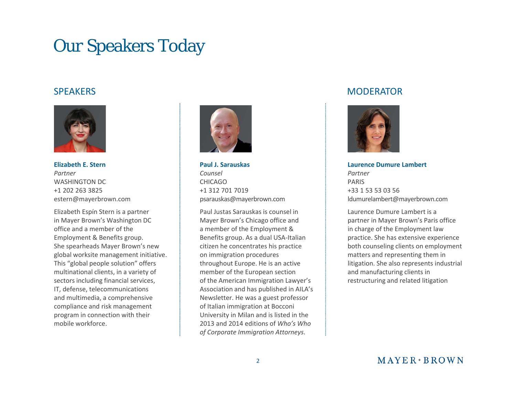#### Our Speakers Today

#### **SPEAKERS**



**Elizabeth E. Stern** *Partner*WASHINGTON DC +1 202 263 3825 estern@mayerbrown.com

Elizabeth Espín Stern is <sup>a</sup> partner in Mayer Brown's Washington DC office and <sup>a</sup> member of the Employment & Benefits group. She spearheads Mayer Brown's new global worksite management initiative. This "global people solution" offers multinational clients, in <sup>a</sup> variety of sectors including financial services, IT, defense, telecommunications and multimedia, <sup>a</sup> comprehensive compliance and risk management program in connection with their mobile workforce workforce.



**Paul J. Sarauskas***Counsel Partner* CHICAGO+1 312 701 7019 psarauskas@mayerbrown.com

> Paul Justas Sarauskas is counsel inMayer Brown's Chicago office and a member of the Employment & Benefits group. As <sup>a</sup> dual USA‐Italian citizen he concentrates his practice on immigration procedures throughout Europe. He is an active , in a variety of in the member of the European section the same and manufacturing clients in of the American Immigration Lawyer's Association and has published in AILA's Newsletter. He was <sup>a</sup> guest professor of Italian immigration at Bocconi University in Milan and is listed in the 2013 and 2014 editions of *Who's Who Who sof Corporate Immigration Attorneys*.

#### **MODERATOR**



**Laurence Dumure Lambert** PARIS+33 1 53 53 03 56 ldumurelambert@mayerbrown.com

Laurence Dumure Lambert is <sup>a</sup> partner in Mayer Brown's Paris office in charge of the Employment law practice. She has extensive experience both counseling clients on employment matters and representing them in litigation. She also represents industrial and manufacturing clients in restructuring and related litigation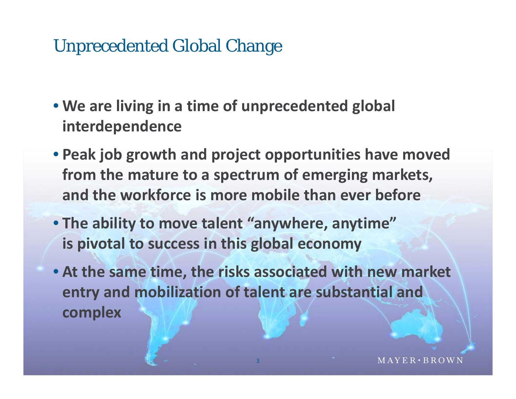#### Unprecedented Global Change

- **We are living in a time of unprecedented global interdependence**
- **Peak job growth and project opportunities have moved from the mature to a spectrum of emerging markets , and the workforce is more mobile than ever before**
- **The ability to move talent "anywhere anywhere , anytime "is pivotal to success in this global economy**
- **At the same time , the risks associated with new market entry and mobilization of talent are substantial and complex**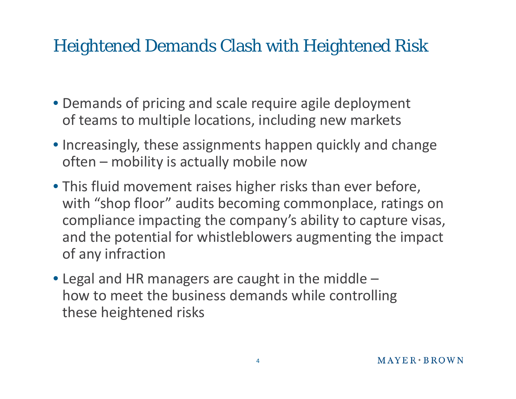#### Heightened Demands Clash with Heightened Risk

- Demands of pricing and scale require agile deployment of teams to multiple locations, including new markets
- Increasingly, these assignments happen quickly and change often – mobility is actually mobile now
- This fluid movement raises higher risks than ever before, with "shop floor" audits becoming commonplace, ratings on compliance impacting the company's ability to capture visas, and the potential for whistleblowers augmenting the impact of any infraction
- $\bullet$  Legal and HR managers are caught in the middle  $$ how to meet the business demands while controlling these heightened risks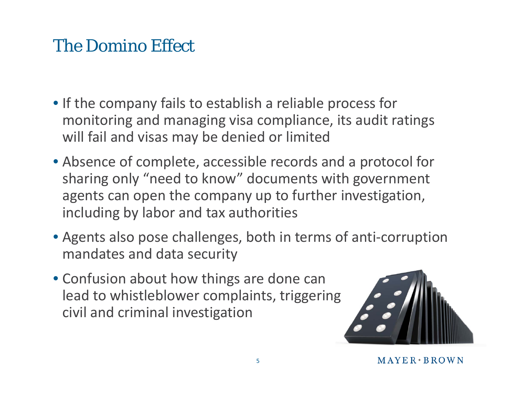#### The Domino Effect

- If the company fails to establish <sup>a</sup> reliable process for monitoring and managing visa compliance, its audit ratings will fail and visas may be denied or limited
- Absence of complete, accessible records and <sup>a</sup> protocol for sharing only "need to know" documents with government agents can open the company up to further investigation, including by labor and tax authorities
- Agents also pose challenges, both in terms of anti‐corruption mandates and data security
- Confusion about how things are done can lead to whistleblower complaints, triggering civil and criminal investigation

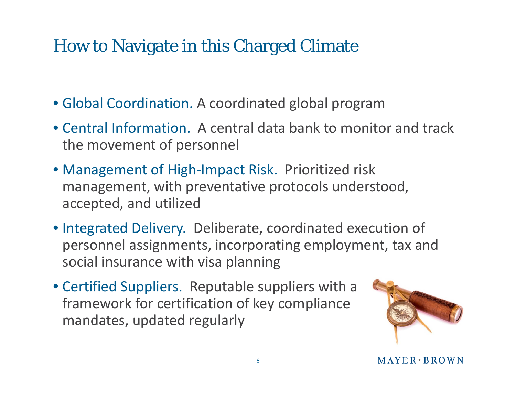#### How to Navigate in this Charged Climate

- Global Coordination. A coordinated global program
- Central Information. A central data bank to monitor and track the movement of personnel
- Management of High-Impact Risk. Prioritized risk management, with preventative protocols understood, accepted, and utilized
- Integrated Delivery. Deliberate, coordinated execution of personnel assignments, incorporating employment, tax and social insurance with visa planning
- Certified Suppliers. Reputable suppliers with a framework for certification of key compliance mandates, updated regularly

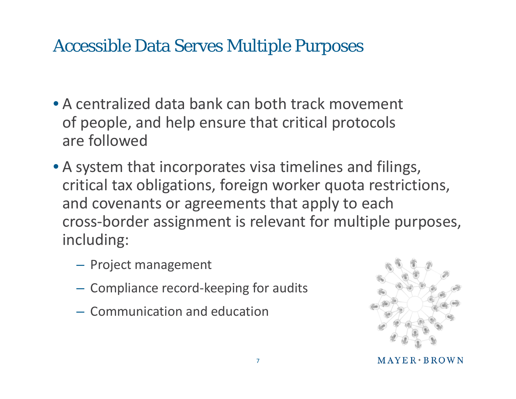#### Accessible Data Serves Multiple Purposes

- •A centralized data bank can both track movement of people, and help ensure that critical protocols are followed
- A system that incorporates visa timelines and filings, critical tax obligations, foreign worker quota restrictions, and covenants or agreements that apply to each cross-border assignment is relevant for multiple purposes, including:
	- Project management
	- – $-$  Compliance record-keeping for audits
	- Communication and education



 $MAYER*BROWN$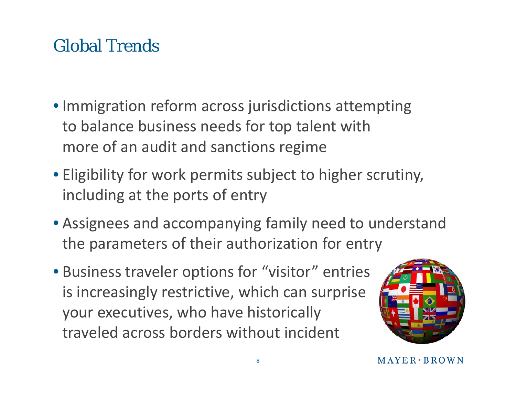## Global Trends

- Immigration reform across jurisdictions attempting to balance business needs for top talent with more of an audit and sanctions regime
- Eligibility for work permits subject to higher scrutiny, including at the ports of entry
- Assignees and accompanying family need to understand the parameters of their authorization for entry
- Business traveler options for "visitor" entries is increasingly restrictive, which can surprise your executives, who have historically traveled across borders without incident

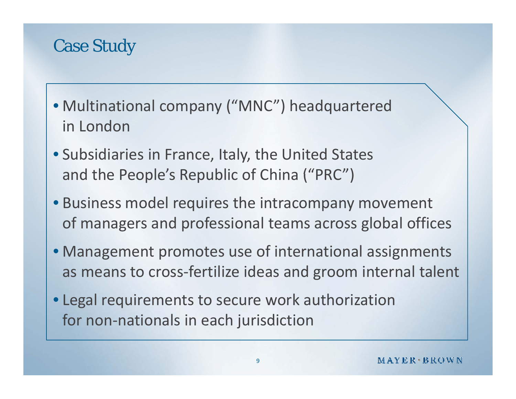#### Case Study

- Multinational company ("MNC") headquartered in London
- Subsidiaries in France, Italy, the United States and the People's Republic of China ("PRC")
- Business model requires the intracompany movement of managers and professional teams across global offices
- Management promotes use of international assignments as means to cross‐fertilize ideas and groom internal talent
- Legal requirements to secure work authorization for non‐nationals in each jurisdiction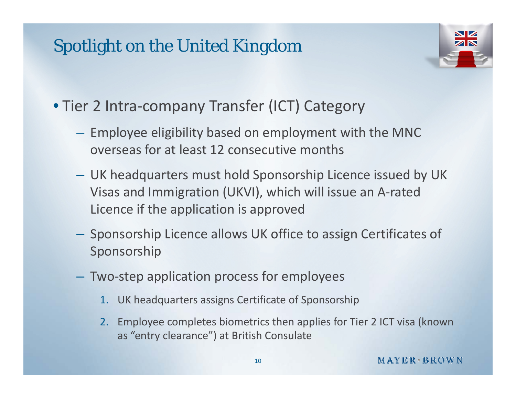#### Spotlight on the United Kingdom



- Tier 2 Intra ‐company Transfer (ICT) Category
	- **Hart Communication**  $-$  Employee eligibility based on employment with the MNC  $\,$ overseas for at least 12 consecutive months
	- UK headquarters must hold Sponsorship Licence issued by UK Visas and Immigration (UKVI), which will issue an A ‐rated Licence if the application is approved
	- **Hart Communist Communist**  $-$  Sponsorship Licence allows UK office to assign Certificates of Sponsorship
	- Two ‐step application process for employees
		- 1. UK headquarters assigns Certificate of Sponsorship
		- 2. Employee completes biometrics then applies for Tier 2 ICT visa (known as "entry clearance") at British Consulate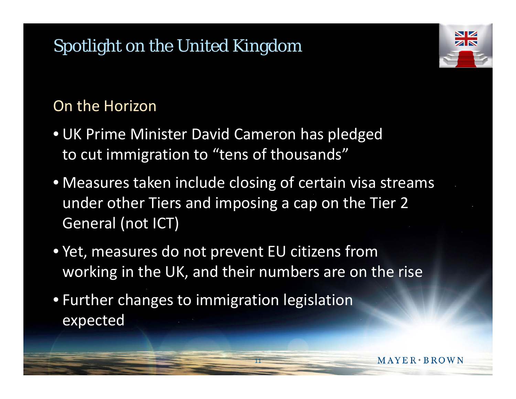## Spotlight on the United Kingdom

#### On the Horizon

- UK Prime Minister David Cameron has pledged to cut immigration to "tens of thousands"
- Measures taken include closing of certain visa streams under other Tiers and imposing a cap on the Tier 2 General (not ICT )
- Yet, measures do not prevent EU citizens from working in the UK, and their numbers are on the rise

11

 $MAYER * BROWN$ 

• Further changes to immigration legislation expected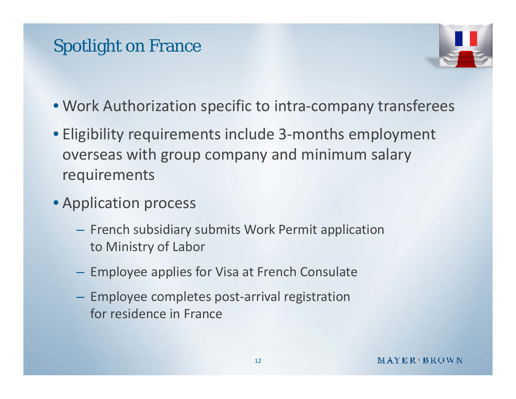#### Spotlight on France



- Work Authorization specific to intra‐company transferees
- Eligibility requirements include 3‐months employment overseas with group company and minimum salary requirements
- Application process
	- $-$  French subsidiary submits Work Permit application to Ministry of Labor
	- $-$  Employee applies for Visa at French Consulate
	- and the state of the state Employee completes post‐arrival registration for residence in France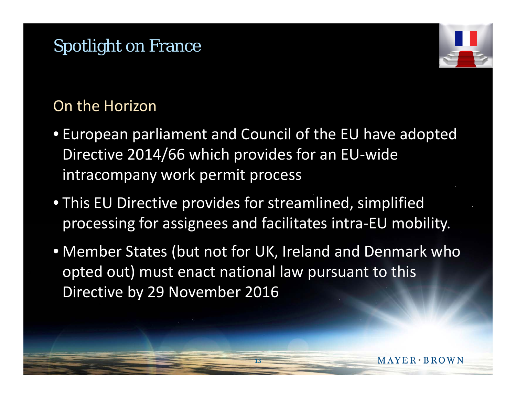#### Spotlight on France



MAYER · BROWN

#### On the Horizon

- European parliament and Council of the EU have adopted Directive 2014/66 which provides for an EU‐wide intracompany work permit process
- This EU Directive provides for streamlined, simplified processing for assignees and facilitates intra-EU mobility.
- Member States (but not for UK, Ireland and Denmark who opted out) must enact national law pursuant to this Directive by 29 November 2016

13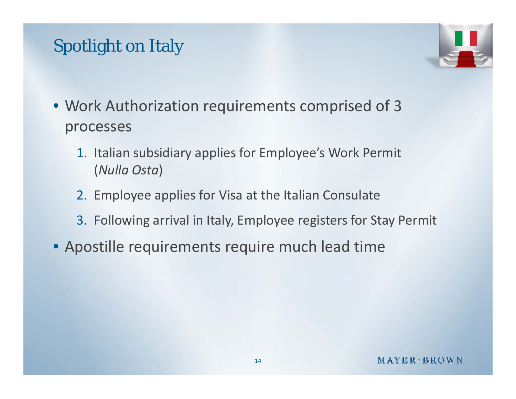#### Spotlight on Italy



- Work Authorization requirements comprised of 3 processes
	- 1. Italian subsidiary applies for Employee's Work Permit (*Nulla Osta*)
	- 2. Employee applies for Visa at the Italian Consulate
	- 3. Following arrival in Italy, Employee registers for Stay Permit
- Apostille requirements require much lead time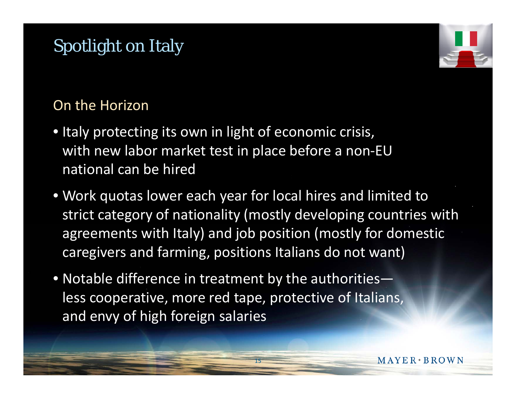#### Spotlight on Italy

#### On the Horizon

- Italy protecting its own in light of economic crisis, with new labor market test in place before <sup>a</sup> non‐EU national can be hired
- Work quotas lower each year for local hires and limited to strict category of nationality (mostly developing countries with agreements with Italy) and job position (mostly for domestic caregivers and farming, positions Italians do not want)

15

 $\bullet$  Notable difference in treatment by the authorities less cooperative, more red tape, protective of Italians, and envy of high foreign salaries

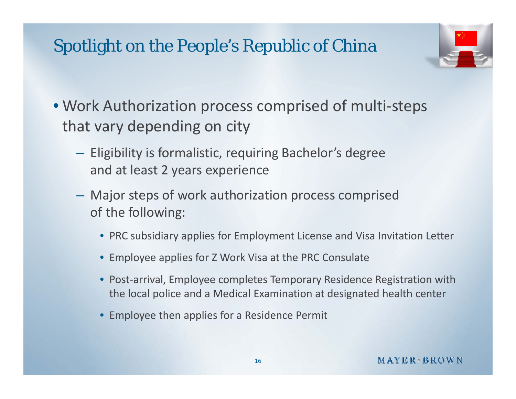#### Spotlight on the People's Republic of China



- Work Authorization process comprised of multi ‐steps that vary depending on city
	- Eligibility is formalistic, requiring Bachelor's degree and at least 2 years experience
	- **Hart Communist Communist**  Major steps of work authorization process comprised of the following:
		- PRC subsidiary applies for Employment License and Visa Invitation Letter
		- Employee applies for Z Work Visa at the PRC Consulate
		- Post-arrival, Employee completes Temporary Residence Registration with the local police and a Medical Examination at designated health center
		- Employee then applies for a Residence Permit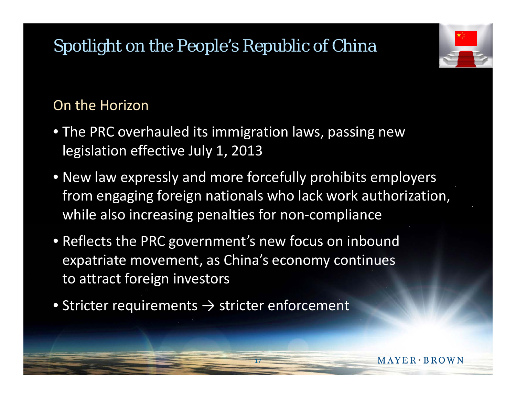## Spotlight on the People's Republic of China

#### On the Horizon

- The PRC overhauled its immigration laws, passing new legislation effective July 1, 2013
- New law expressly and more forcefully prohibits employers from engaging foreign nationals who lack work authorization, while also increasing penalties for non ‐compliance

17

MAYER · BROWN

- Reflects the PRC government's new focus on inbound expatriate movement, as China's economy continues to attract foreign investors
- $\bullet$  Stricter requirements  $\rightarrow$  stricter enforcement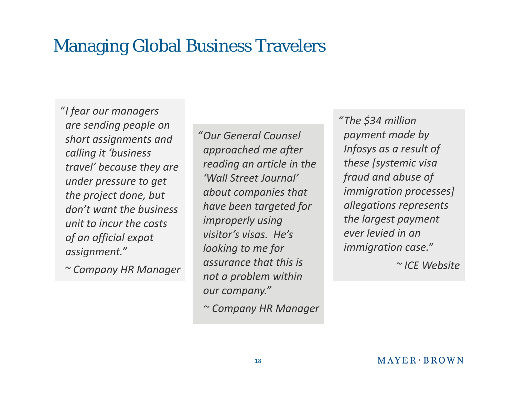#### Managing Global Business Travelers

*"I fear our managers are sending people on short assignments and calling it 'business travel' because they are the project done, but don't want the business unit to incur the costs of an official expat assignment."*

*"Our General Counsel approached me after reading an article in the 'Wall Street Journal' under pressure to get Journal'about companies that have been targeted for improperly using not a problem within*<br> *not a problem within visitor's visas. He's looking to me for assurance that this is t bl ithi a problem within our company."*

*~ Company HR Manager*

*"The \$34 million Thepayment made by Infosys as a result of these [systemic visa fraud* and abuse of *immigration processes] allegations represents the lar gest p a yment g y ever levied in an immigration case."*

*~ ICE Website*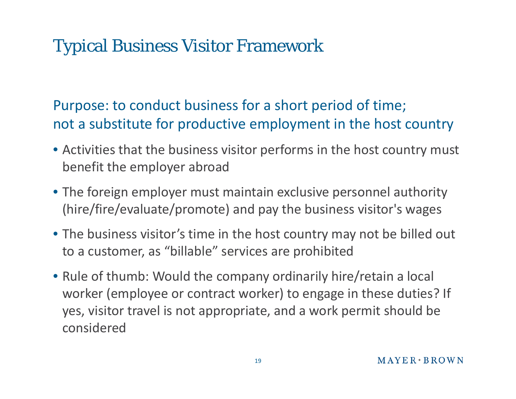#### Typical Business Visitor Framework

Purpose: to conduct business for a short period of time; not a substitute for productive employment in the host country

- Activities that the business visitor performs in the host country must benefit the employer abroad
- The foreign employer must maintain exclusive personnel authority (hire/fire/evaluate/promote) and pay the business visitor's wages
- The business visitor's time in the host country may not be billed out to a customer, as "billable" services are prohibited
- Rule of thumb: Would the company ordinarily hire/retain a local worker (employee or contract worker) to engage in these duties? If yes, visitor travel is not appropriate, and a work permit should be considered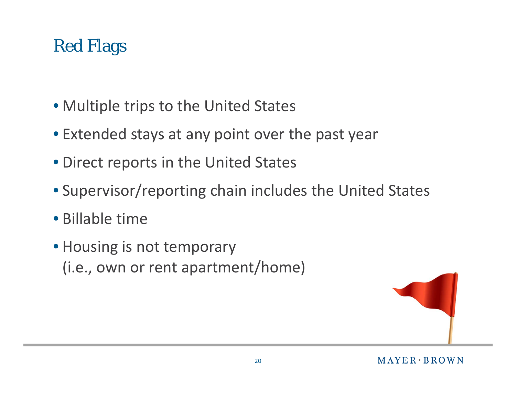## Red Flags

- Multiple trips to the United States
- Extended stays at any point over the past year
- Direct reports in the United States
- Supervisor/reporting chain includes the United States
- Billable time
- Housing is not temporary  $(i.e., own or rent apartment/home)$

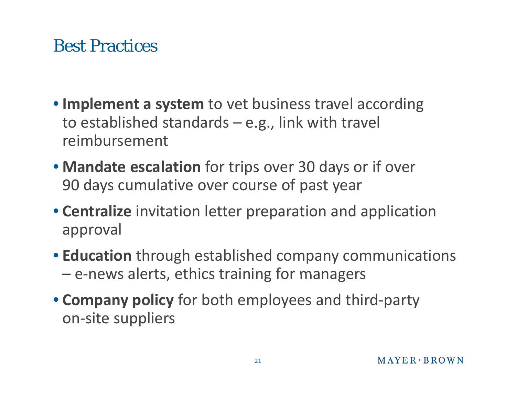#### Best Practices

- **Implement <sup>a</sup> system** to vet business travel according to established standards – e.g., link with travel reimbursement
- **Mandate escalation** for trips over 30 days or if over 90 days cumulative over course of past year
- **Centralize** invitation letter preparation and application approval
- **Education** through established company communications – e-news alerts, ethics training for managers
- **Company policy** for both employees and third‐party on‐site suppliers